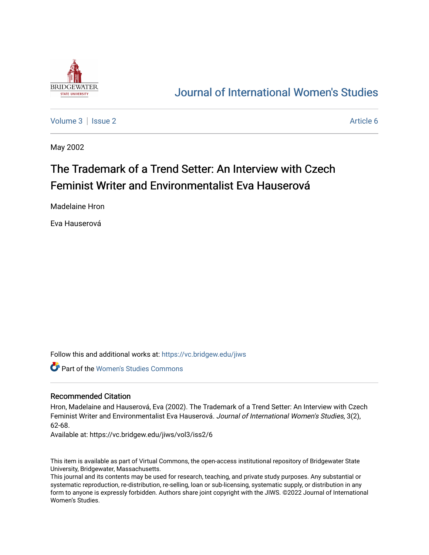

## [Journal of International Women's Studies](https://vc.bridgew.edu/jiws)

[Volume 3](https://vc.bridgew.edu/jiws/vol3) | [Issue 2](https://vc.bridgew.edu/jiws/vol3/iss2) Article 6

May 2002

# The Trademark of a Trend Setter: An Interview with Czech Feminist Writer and Environmentalist Eva Hauserová

Madelaine Hron

Eva Hauserová

Follow this and additional works at: [https://vc.bridgew.edu/jiws](https://vc.bridgew.edu/jiws?utm_source=vc.bridgew.edu%2Fjiws%2Fvol3%2Fiss2%2F6&utm_medium=PDF&utm_campaign=PDFCoverPages)

Part of the [Women's Studies Commons](http://network.bepress.com/hgg/discipline/561?utm_source=vc.bridgew.edu%2Fjiws%2Fvol3%2Fiss2%2F6&utm_medium=PDF&utm_campaign=PDFCoverPages) 

#### Recommended Citation

Hron, Madelaine and Hauserová, Eva (2002). The Trademark of a Trend Setter: An Interview with Czech Feminist Writer and Environmentalist Eva Hauserová. Journal of International Women's Studies, 3(2), 62-68.

Available at: https://vc.bridgew.edu/jiws/vol3/iss2/6

This item is available as part of Virtual Commons, the open-access institutional repository of Bridgewater State University, Bridgewater, Massachusetts.

This journal and its contents may be used for research, teaching, and private study purposes. Any substantial or systematic reproduction, re-distribution, re-selling, loan or sub-licensing, systematic supply, or distribution in any form to anyone is expressly forbidden. Authors share joint copyright with the JIWS. ©2022 Journal of International Women's Studies.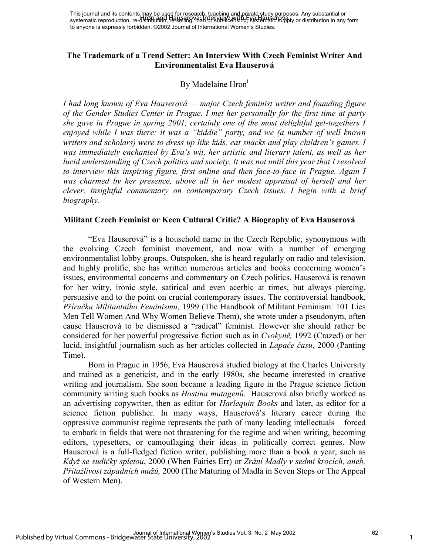#### **The Trademark of a Trend Setter: An Interview With Czech Feminist Writer And Environmentalist Eva Hauserová**

## By Madelaine Hron<sup>1</sup>

*I had long known of Eva Hauserová — major Czech feminist writer and founding figure of the Gender Studies Center in Prague. I met her personally for the first time at party she gave in Prague in spring 2001, certainly one of the most delightful get-togethers I enjoyed while I was there: it was a "kiddie" party, and we (a number of well known writers and scholars) were to dress up like kids, eat snacks and play children's games. I was immediately enchanted by Eva's wit, her artistic and literary talent, as well as her lucid understanding of Czech politics and society. It was not until this year that I resolved to interview this inspiring figure, first online and then face-to-face in Prague. Again I*  was charmed by her presence, above all in her modest appraisal of herself and her *clever, insightful commentary on contemporary Czech issues*. *I begin with a brief biography.* 

#### **Militant Czech Feminist or Keen Cultural Critic? A Biography of Eva Hauserová**

"Eva Hauserová" is a household name in the Czech Republic, synonymous with the evolving Czech feminist movement, and now with a number of emerging environmentalist lobby groups. Outspoken, she is heard regularly on radio and television, and highly prolific, she has written numerous articles and books concerning women's issues, environmental concerns and commentary on Czech politics. Hauserová is renown for her witty, ironic style, satirical and even acerbic at times, but always piercing, persuasive and to the point on crucial contemporary issues. The controversial handbook, *Příručka Militantního Feminismu,* 1999 (The Handbook of Militant Feminism: 101 Lies Men Tell Women And Why Women Believe Them), she wrote under a pseudonym, often cause Hauserová to be dismissed a "radical" feminist. However she should rather be considered for her powerful progressive fiction such as in *Cvokyně,* 1992 (Crazed) or her lucid, insightful journalism such as her articles collected in *Lapače času*, 2000 (Panting Time).

Born in Prague in 1956, Eva Hauserová studied biology at the Charles University and trained as a geneticist, and in the early 1980s, she became interested in creative writing and journalism. She soon became a leading figure in the Prague science fiction community writing such books as *Hostina mutagenů*. Hauserová also briefly worked as an advertising copywriter, then as editor for *Harlequin Books* and later, as editor for a science fiction publisher. In many ways, Hauserová's literary career during the oppressive communist regime represents the path of many leading intellectuals – forced to embark in fields that were not threatening for the regime and when writing, becoming editors, typesetters, or camouflaging their ideas in politically correct genres. Now Hauserová is a full-fledged fiction writer, publishing more than a book a year, such as *Když se sudičky spletou*, 2000 (When Fairies Err) or *Zrání Madly v sedmi krocích, aneb, Přitažlivost západních mužů,* 2000 (The Maturing of Madla in Seven Steps or The Appeal of Western Men).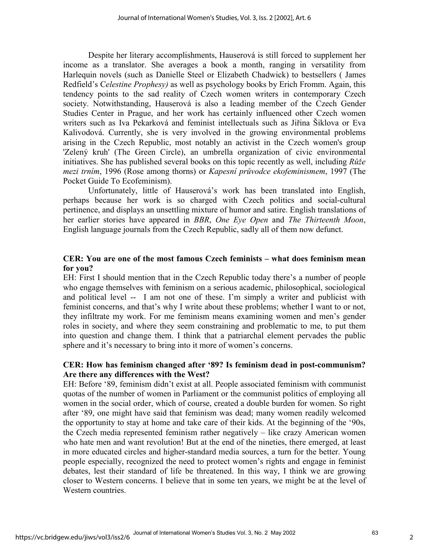Despite her literary accomplishments, Hauserová is still forced to supplement her income as a translator. She averages a book a month, ranging in versatility from Harlequin novels (such as Danielle Steel or Elizabeth Chadwick) to bestsellers ( James Redfield's C*elestine Prophesy)* as well as psychology books by Erich Fromm. Again, this tendency points to the sad reality of Czech women writers in contemporary Czech society. Notwithstanding, Hauserová is also a leading member of the Czech Gender Studies Center in Prague, and her work has certainly influenced other Czech women writers such as Iva Pekarková and feminist intellectuals such as Jiřina Šiklova or Eva Kalivodová. Currently, she is very involved in the growing environmental problems arising in the Czech Republic, most notably an activist in the Czech women's group 'Zelený kruh' (The Green Circle), an umbrella organization of civic environmental initiatives. She has published several books on this topic recently as well, including *Růže mezi trním*, 1996 (Rose among thorns) or *Kapesní průvodce ekofeminismem*, 1997 (The Pocket Guide To Ecofeminism).

 Unfortunately, little of Hauserová's work has been translated into English, perhaps because her work is so charged with Czech politics and social-cultural pertinence, and displays an unsettling mixture of humor and satire. English translations of her earlier stories have appeared in *BBR*, *One Eye Open* and *The Thirteenth Moon*, English language journals from the Czech Republic, sadly all of them now defunct.

#### **CER: You are one of the most famous Czech feminists – what does feminism mean for you?**

EH: First I should mention that in the Czech Republic today there's a number of people who engage themselves with feminism on a serious academic, philosophical, sociological and political level -- I am not one of these. I'm simply a writer and publicist with feminist concerns, and that's why I write about these problems; whether I want to or not, they infiltrate my work. For me feminism means examining women and men's gender roles in society, and where they seem constraining and problematic to me, to put them into question and change them. I think that a patriarchal element pervades the public sphere and it's necessary to bring into it more of women's concerns.

#### **CER: How has feminism changed after '89? Is feminism dead in post-communism? Are there any differences with the West?**

EH: Before '89, feminism didn't exist at all. People associated feminism with communist quotas of the number of women in Parliament or the communist politics of employing all women in the social order, which of course, created a double burden for women. So right after '89, one might have said that feminism was dead; many women readily welcomed the opportunity to stay at home and take care of their kids. At the beginning of the '90s, the Czech media represented feminism rather negatively – like crazy American women who hate men and want revolution! But at the end of the nineties, there emerged, at least in more educated circles and higher-standard media sources, a turn for the better. Young people especially, recognized the need to protect women's rights and engage in feminist debates, lest their standard of life be threatened. In this way, I think we are growing closer to Western concerns. I believe that in some ten years, we might be at the level of Western countries.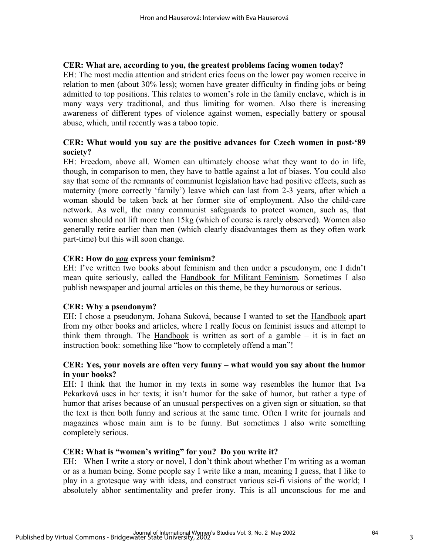#### **CER: What are, according to you, the greatest problems facing women today?**

EH: The most media attention and strident cries focus on the lower pay women receive in relation to men (about 30% less); women have greater difficulty in finding jobs or being admitted to top positions. This relates to women's role in the family enclave, which is in many ways very traditional, and thus limiting for women. Also there is increasing awareness of different types of violence against women, especially battery or spousal abuse, which, until recently was a taboo topic.

## **CER: What would you say are the positive advances for Czech women in post-'89 society?**

EH: Freedom, above all. Women can ultimately choose what they want to do in life, though, in comparison to men, they have to battle against a lot of biases. You could also say that some of the remnants of communist legislation have had positive effects, such as maternity (more correctly 'family') leave which can last from 2-3 years, after which a woman should be taken back at her former site of employment. Also the child-care network. As well, the many communist safeguards to protect women, such as, that women should not lift more than 15kg (which of course is rarely observed). Women also generally retire earlier than men (which clearly disadvantages them as they often work part-time) but this will soon change.

#### **CER: How do** *you* **express your feminism?**

EH: I've written two books about feminism and then under a pseudonym, one I didn't mean quite seriously, called the Handbook for Militant Feminism*.* Sometimes I also publish newspaper and journal articles on this theme, be they humorous or serious.

#### **CER: Why a pseudonym?**

EH: I chose a pseudonym, Johana Suková, because I wanted to set the Handbook apart from my other books and articles, where I really focus on feminist issues and attempt to think them through. The Handbook is written as sort of a gamble – it is in fact an instruction book: something like "how to completely offend a man"!

#### **CER: Yes, your novels are often very funny – what would you say about the humor in your books?**

EH: I think that the humor in my texts in some way resembles the humor that Iva Pekarková uses in her texts; it isn't humor for the sake of humor, but rather a type of humor that arises because of an unusual perspectives on a given sign or situation, so that the text is then both funny and serious at the same time. Often I write for journals and magazines whose main aim is to be funny. But sometimes I also write something completely serious.

#### **CER: What is "women's writing" for you? Do you write it?**

EH: When I write a story or novel, I don't think about whether I'm writing as a woman or as a human being. Some people say I write like a man, meaning I guess, that I like to play in a grotesque way with ideas, and construct various sci-fi visions of the world; I absolutely abhor sentimentality and prefer irony. This is all unconscious for me and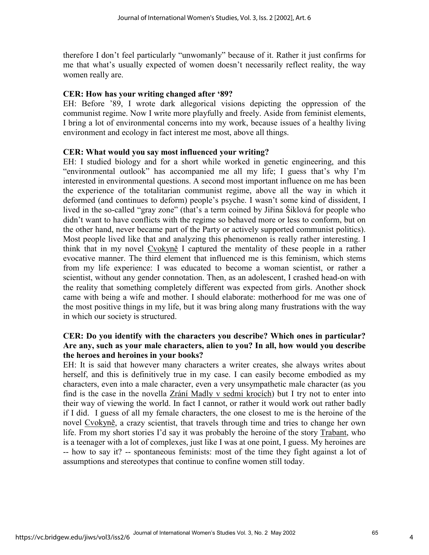therefore I don't feel particularly "unwomanly" because of it. Rather it just confirms for me that what's usually expected of women doesn't necessarily reflect reality, the way women really are.

#### **CER: How has your writing changed after '89?**

EH: Before '89, I wrote dark allegorical visions depicting the oppression of the communist regime. Now I write more playfully and freely. Aside from feminist elements, I bring a lot of environmental concerns into my work, because issues of a healthy living environment and ecology in fact interest me most, above all things.

#### **CER: What would you say most influenced your writing?**

EH: I studied biology and for a short while worked in genetic engineering, and this "environmental outlook" has accompanied me all my life; I guess that's why I'm interested in environmental questions. A second most important influence on me has been the experience of the totalitarian communist regime, above all the way in which it deformed (and continues to deform) people's psyche. I wasn't some kind of dissident, I lived in the so-called "gray zone" (that's a term coined by Jiřina Šiklová for people who didn't want to have conflicts with the regime so behaved more or less to conform, but on the other hand, never became part of the Party or actively supported communist politics). Most people lived like that and analyzing this phenomenon is really rather interesting. I think that in my novel Cvokyně I captured the mentality of these people in a rather evocative manner. The third element that influenced me is this feminism, which stems from my life experience: I was educated to become a woman scientist, or rather a scientist, without any gender connotation. Then, as an adolescent, I crashed head-on with the reality that something completely different was expected from girls. Another shock came with being a wife and mother. I should elaborate: motherhood for me was one of the most positive things in my life, but it was bring along many frustrations with the way in which our society is structured.

#### **CER: Do you identify with the characters you describe? Which ones in particular? Are any, such as your male characters, alien to you? In all, how would you describe the heroes and heroines in your books?**

EH: It is said that however many characters a writer creates, she always writes about herself, and this is definitively true in my case. I can easily become embodied as my characters, even into a male character, even a very unsympathetic male character (as you find is the case in the novella Zrání Madly v sedmi krocích) but I try not to enter into their way of viewing the world. In fact I cannot, or rather it would work out rather badly if I did. I guess of all my female characters, the one closest to me is the heroine of the novel Cvokyně, a crazy scientist, that travels through time and tries to change her own life. From my short stories I'd say it was probably the heroine of the story Trabant, who is a teenager with a lot of complexes, just like I was at one point, I guess. My heroines are -- how to say it? -- spontaneous feminists: most of the time they fight against a lot of assumptions and stereotypes that continue to confine women still today.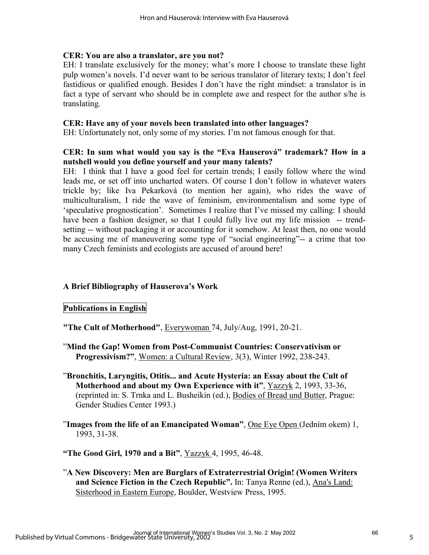#### **CER: You are also a translator, are you not?**

EH: I translate exclusively for the money; what's more I choose to translate these light pulp women's novels. I'd never want to be serious translator of literary texts; I don't feel fastidious or qualified enough. Besides I don't have the right mindset: a translator is in fact a type of servant who should be in complete awe and respect for the author s/he is translating.

#### **CER: Have any of your novels been translated into other languages?**

EH: Unfortunately not, only some of my stories. I'm not famous enough for that.

#### **CER: In sum what would you say is the "Eva Hauserová" trademark? How in a nutshell would you define yourself and your many talents?**

EH: I think that I have a good feel for certain trends; I easily follow where the wind leads me, or set off into uncharted waters. Of course I don't follow in whatever waters trickle by; like Iva Pekarková (to mention her again), who rides the wave of multiculturalism, I ride the wave of feminism, environmentalism and some type of 'speculative prognostication'. Sometimes I realize that I've missed my calling: I should have been a fashion designer, so that I could fully live out my life mission -- trendsetting -- without packaging it or accounting for it somehow. At least then, no one would be accusing me of maneuvering some type of "social engineering"-- a crime that too many Czech feminists and ecologists are accused of around here!

## **A Brief Bibliography of Hauserova's Work**

## **Publications in English**

**"The Cult of Motherhood"**, Everywoman 74, July/Aug, 1991, 20-21.

- "**Mind the Gap! Women from Post-Communist Countries: Conservativism or Progressivism?"**, Women: a Cultural Review, 3(3), Winter 1992, 238-243.
- "**Bronchitis, Laryngitis, Otitis... and Acute Hysteria: an Essay about the Cult of Motherhood and about my Own Experience with it"**, Yazzyk 2, 1993, 33-36, (reprinted in: S. Trnka and L. Busheikin (ed.), Bodies of Bread und Butter, Prague: Gender Studies Center 1993.)
- "**Images from the life of an Emancipated Woman"**, One Eye Open (Jedním okem) 1, 1993, 31-38.

**"The Good Girl, 1970 and a Bit"**, Yazzyk 4, 1995, 46-48.

"**A New Discovery: Men are Burglars of Extraterrestrial Origin! (Women Writers and Science Fiction in the Czech Republic".** In: Tanya Renne (ed.), Ana's Land: Sisterhood in Eastern Europe, Boulder, Westview Press, 1995.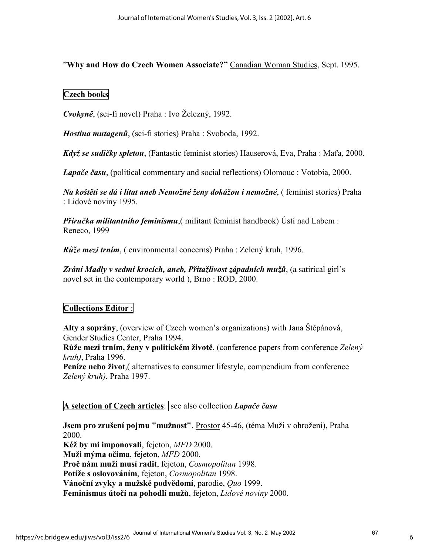"**Why and How do Czech Women Associate?"** Canadian Woman Studies, Sept. 1995.

## **Czech books**

*Cvokyně*, (sci-fi novel) Praha : Ivo Železný, 1992.

*Hostina mutagenů*, (sci-fi stories) Praha : Svoboda, 1992.

*Když se sudičky spletou*, (Fantastic feminist stories) Hauserová, Eva, Praha : Maťa, 2000.

*Lapače času*, (political commentary and social reflections) Olomouc : Votobia, 2000.

*Na koštěti se dá i lítat aneb Nemožné ženy dokážou i nemožné*, ( feminist stories) Praha : Lidové noviny 1995.

*Příručka militantního feminismu*,( militant feminist handbook) Ústí nad Labem : Reneco, 1999

*Růže mezi trním*, ( environmental concerns) Praha : Zelený kruh, 1996.

*Zrání Madly v sedmi krocích, aneb, Přitažlivost západních mužů*, (a satirical girl's novel set in the contemporary world ), Brno : ROD, 2000.

## **Collections Editor** :

**Alty a soprány**, (overview of Czech women's organizations) with Jana Štěpánová, Gender Studies Center, Praha 1994.

**Růže mezi trním, ženy v politickém životě**, (conference papers from conference *Zelený kruh)*, Praha 1996.

**Peníze nebo život**,( alternatives to consumer lifestyle, compendium from conference *Zelený kruh)*, Praha 1997.

**A selection of Czech articles**: see also collection *Lapače času* 

**Jsem pro zrušení pojmu "mužnost"**, Prostor 45-46, (téma Muži v ohrožení), Praha 2000.

**Kéž by mi imponovali**, fejeton, *MFD* 2000. **Muži mýma očima**, fejeton, *MFD* 2000. **Proč nám muži musí radit**, fejeton, *Cosmopolitan* 1998. **Potíže s oslovováním**, fejeton, *Cosmopolitan* 1998. **Vánoční zvyky a mužské podvědomí**, parodie, *Quo* 1999. **Feminismus útočí na pohodlí mužů**, fejeton, *Lidové noviny* 2000.